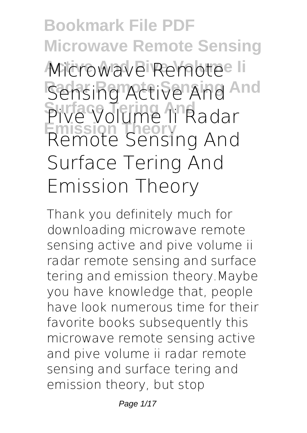**Bookmark File PDF Microwave Remote Sensing Microwave Remote** Ii Sensing Active And And **Surface Tering And Pive Volume Ii Radar Emission Theory Remote Sensing And Surface Tering And Emission Theory**

Thank you definitely much for downloading **microwave remote sensing active and pive volume ii radar remote sensing and surface tering and emission theory**.Maybe you have knowledge that, people have look numerous time for their favorite books subsequently this microwave remote sensing active and pive volume ii radar remote sensing and surface tering and emission theory, but stop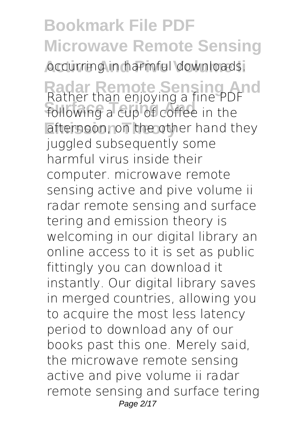**Bookmark File PDF Microwave Remote Sensing Accurring in harmful downloads.** 

**Radar Remote Sensing And** Rather than enjoying a fine PDF **Surface Tering And** following a cup of coffee in the afternoon, on the other hand they juggled subsequently some harmful virus inside their computer. **microwave remote sensing active and pive volume ii radar remote sensing and surface tering and emission theory** is welcoming in our digital library an online access to it is set as public fittingly you can download it instantly. Our digital library saves in merged countries, allowing you to acquire the most less latency period to download any of our books past this one. Merely said, the microwave remote sensing active and pive volume ii radar remote sensing and surface tering Page 2/17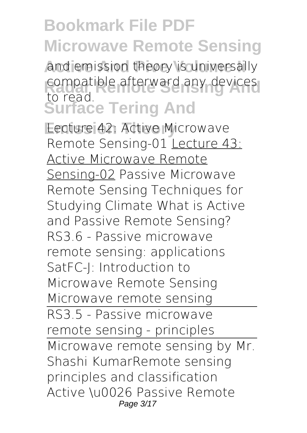and emission theory is universally compatible afterward any devices **Surface Tering And** to read.

**Lecture 42: Active Microwave** *Remote Sensing-01* Lecture 43: Active Microwave Remote Sensing-02 *Passive Microwave Remote Sensing Techniques for Studying Climate What is Active and Passive Remote Sensing? RS3.6 - Passive microwave remote sensing: applications* SatFC-J: Introduction to Microwave Remote Sensing **Microwave remote sensing** RS3.5 - Passive microwave remote sensing - principles Microwave remote sensing by Mr. Shashi Kumar*Remote sensing principles and classification* **Active \u0026 Passive Remote** Page 3/17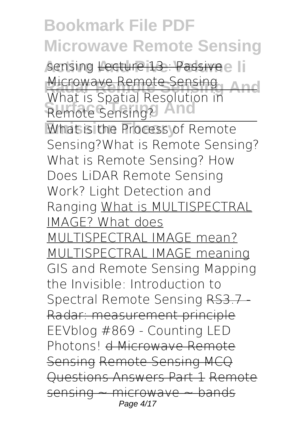**Sensing <del>Lecture 13 : Passive</del> Ii** Microwave Remote Sensing<br>What is Captial Resolution is **And Remote Sensing?** And What is Spatial Resolution in

**What is the Process of Remote** Sensing?*What is Remote Sensing?* What is Remote Sensing? How Does LiDAR Remote Sensing Work? Light Detection and Ranging What is MULTISPECTRAL IMAGE? What does MULTISPECTRAL IMAGE mean? MULTISPECTRAL IMAGE meaning *GIS and Remote Sensing* Mapping the Invisible: Introduction to Spectral Remote Sensing RS3.7 Radar: measurement principle **EEVblog #869 - Counting LED Photons!** d Microwave Remote Sensing Remote Sensing MCQ Questions Answers Part 1 Remote sensing ~ microwave ~ bands Page 4/17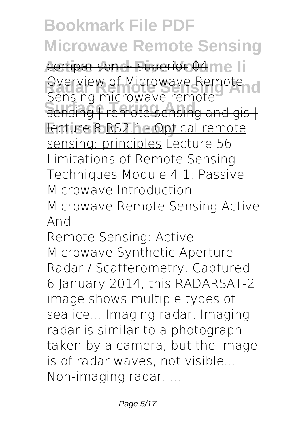comparison ~ superior 04 me li *<u>Overview of Microwave Remote</u>***</u>** sensing *incretive* remote<br>sensing | remote sensing and gis | Fecture 8 RS2.1 - Optical remote Sensing microwave remote sensing: principles *Lecture 56 : Limitations of Remote Sensing Techniques* Module 4.1: Passive Microwave Introduction

Microwave Remote Sensing Active And

Remote Sensing: Active Microwave Synthetic Aperture Radar / Scatterometry. Captured 6 January 2014, this RADARSAT-2 image shows multiple types of sea ice... Imaging radar. Imaging radar is similar to a photograph taken by a camera, but the image is of radar waves, not visible... Non-imaging radar. ...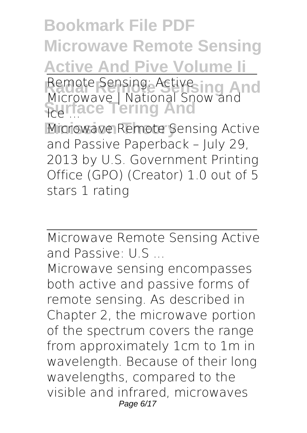**Bookmark File PDF Microwave Remote Sensing Active And Pive Volume Ii** Remote Sensing: Active ing And **Surface Tering And Microwave Remote Sensing Active** Remote Sensing: Active Microwave | National Snow and Ice ... and Passive Paperback – July 29, 2013 by U.S. Government Printing Office (GPO) (Creator) 1.0 out of 5 stars 1 rating

Microwave Remote Sensing Active and Passive: U.S ...

Microwave sensing encompasses both active and passive forms of remote sensing. As described in Chapter 2, the microwave portion of the spectrum covers the range from approximately 1cm to 1m in wavelength. Because of their long wavelengths, compared to the visible and infrared, microwaves Page 6/17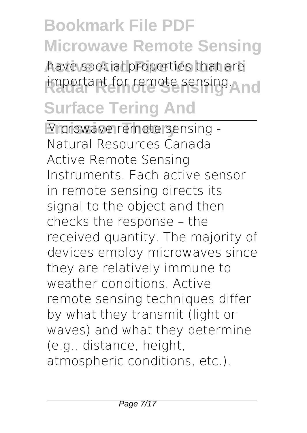have special properties that are important for remote sensing **And Surface Tering And**

Microwave remote sensing -Natural Resources Canada Active Remote Sensing Instruments. Each active sensor in remote sensing directs its signal to the object and then checks the response – the received quantity. The majority of devices employ microwaves since they are relatively immune to weather conditions. Active remote sensing techniques differ by what they transmit (light or waves) and what they determine (e.g., distance, height, atmospheric conditions, etc.).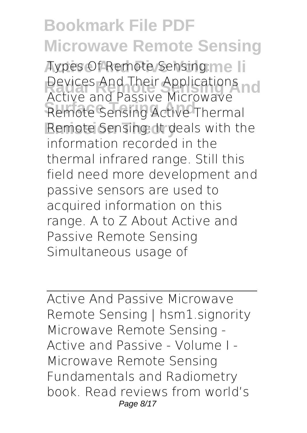**Aypes Of Remote Sensing: me li Devices And Their Applications<br>Active and Dassive Missourive India Surface Tering And** Remote Sensing Active Thermal Remote Sensing: It deals with the Active and Passive Microwave information recorded in the thermal infrared range. Still this field need more development and passive sensors are used to acquired information on this range. A to Z About Active and Passive Remote Sensing Simultaneous usage of

Active And Passive Microwave Remote Sensing | hsm1.signority Microwave Remote Sensing - Active and Passive - Volume I - Microwave Remote Sensing Fundamentals and Radiometry book. Read reviews from world's Page 8/17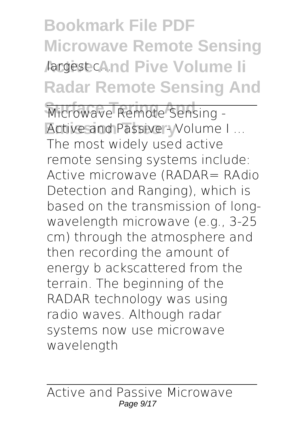**Bookmark File PDF Microwave Remote Sensing Aargest cAnd Pive Volume li Radar Remote Sensing And**

Microwave Remote Sensing -Active and Passive - Volume I ... The most widely used active remote sensing systems include: Active microwave (RADAR= RAdio Detection and Ranging), which is based on the transmission of longwavelength microwave (e.g., 3-25 cm) through the atmosphere and then recording the amount of energy b ackscattered from the terrain. The beginning of the RADAR technology was using radio waves. Although radar systems now use microwave wavelength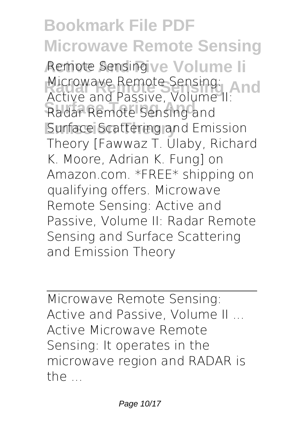**Remote Sensing ve Volume li** Microwave Remote Sensing:<br>Active and Passive Velume LAN**d Radar Remote Sensing and Surface Scattering and Emission** Active and Passive, Volume II: Theory [Fawwaz T. Ulaby, Richard K. Moore, Adrian K. Fung] on Amazon.com. \*FREE\* shipping on qualifying offers. Microwave Remote Sensing: Active and Passive, Volume II: Radar Remote Sensing and Surface Scattering and Emission Theory

Microwave Remote Sensing: Active and Passive, Volume II ... Active Microwave Remote Sensing: It operates in the microwave region and RADAR is the ...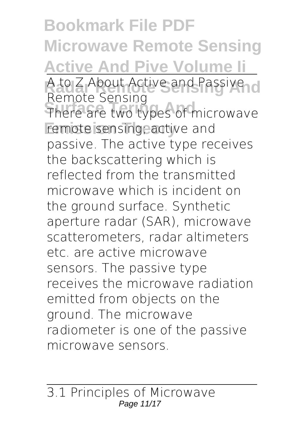**Bookmark File PDF Microwave Remote Sensing Active And Pive Volume Ii** A to Z About Active and Passive d **Surface Tering And** There are two types of microwave remote sensing; active and Remote Sensing passive. The active type receives the backscattering which is reflected from the transmitted microwave which is incident on the ground surface. Synthetic aperture radar (SAR), microwave scatterometers, radar altimeters etc. are active microwave sensors. The passive type receives the microwave radiation emitted from objects on the ground. The microwave radiometer is one of the passive microwave sensors.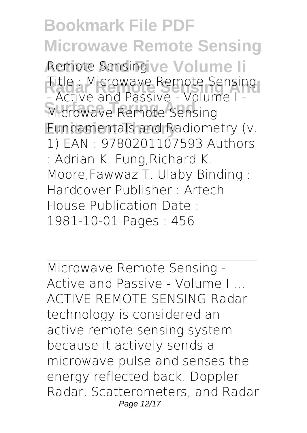**Remote Sensing ve Volume li Radio Microwave Remote Sensing 1986 Microwave Remote Sensing Emission Theory** Fundamentals and Radiometry (v. - Active and Passive - Volume I - 1) EAN : 9780201107593 Authors : Adrian K. Fung,Richard K. Moore,Fawwaz T. Ulaby Binding : Hardcover Publisher : Artech House Publication Date : 1981-10-01 Pages : 456

Microwave Remote Sensing - Active and Passive - Volume I ... ACTIVE REMOTE SENSING Radar technology is considered an active remote sensing system because it actively sends a microwave pulse and senses the energy reflected back. Doppler Radar, Scatterometers, and Radar Page 12/17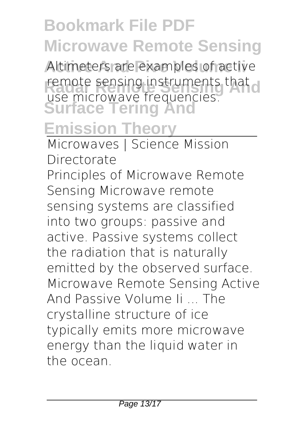Altimeters are examples of active remote sensing instruments that d **Surface Tering And** use microwave frequencies.

#### **Emission Theory**

Microwaves | Science Mission Directorate Principles of Microwave Remote Sensing Microwave remote sensing systems are classified into two groups: passive and active. Passive systems collect the radiation that is naturally emitted by the observed surface. Microwave Remote Sensing Active And Passive Volume Ii ... The crystalline structure of ice typically emits more microwave energy than the liquid water in the ocean.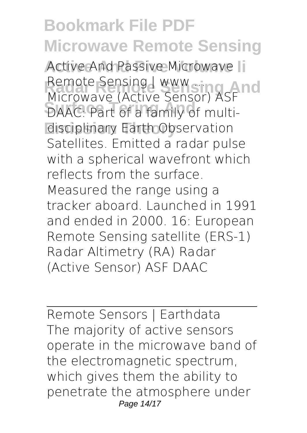Active And Passive Microwave Ii Remote Sensing | www sing And **DAAC:** Part of a family of multi-**Emission Theory** disciplinary Earth Observation Microwave (Active Sensor) ASF Satellites. Emitted a radar pulse with a spherical wavefront which reflects from the surface. Measured the range using a tracker aboard. Launched in 1991 and ended in 2000. 16: European Remote Sensing satellite (ERS-1) Radar Altimetry (RA) Radar (Active Sensor) ASF DAAC

Remote Sensors | Earthdata The majority of active sensors operate in the microwave band of the electromagnetic spectrum, which gives them the ability to penetrate the atmosphere under Page 14/17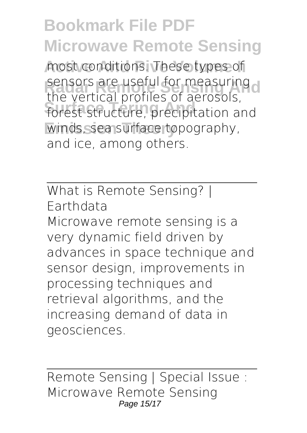most conditions. These types of sensors are useful for measuring d **Surface Tering And** forest structure, precipitation and winds, sea surface topography, the vertical profiles of aerosols, and ice, among others.

What is Remote Sensing? | Earthdata Microwave remote sensing is a

very dynamic field driven by advances in space technique and sensor design, improvements in processing techniques and retrieval algorithms, and the increasing demand of data in geosciences.

Remote Sensing | Special Issue : Microwave Remote Sensing Page 15/17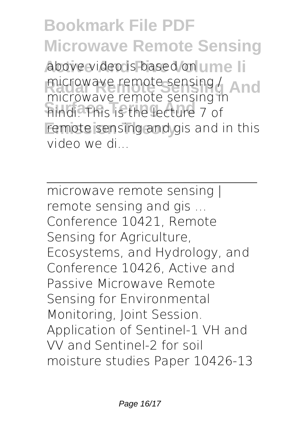**Bookmark File PDF Microwave Remote Sensing** above video is based on ume li microwave remote sensing / **And Surface Tering And** hindi. This is the lecture 7 of remote sensing and gis and in this microwave remote sensing in video we di...

microwave remote sensing | remote sensing and gis ... Conference 10421, Remote Sensing for Agriculture, Ecosystems, and Hydrology, and Conference 10426, Active and Passive Microwave Remote Sensing for Environmental Monitoring, Joint Session. Application of Sentinel-1 VH and VV and Sentinel-2 for soil moisture studies Paper 10426-13